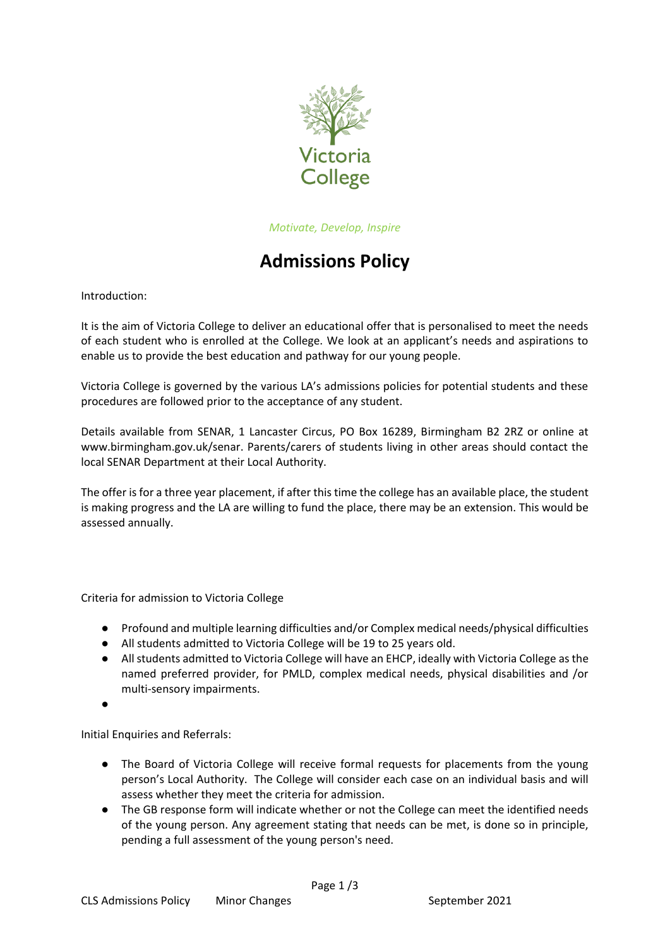

*Motivate, Develop, Inspire*

# **Admissions Policy**

Introduction:

It is the aim of Victoria College to deliver an educational offer that is personalised to meet the needs of each student who is enrolled at the College. We look at an applicant's needs and aspirations to enable us to provide the best education and pathway for our young people.

Victoria College is governed by the various LA's admissions policies for potential students and these procedures are followed prior to the acceptance of any student.

Details available from SENAR, 1 Lancaster Circus, PO Box 16289, Birmingham B2 2RZ or online at www.birmingham.gov.uk/senar. Parents/carers of students living in other areas should contact the local SENAR Department at their Local Authority.

The offer is for a three year placement, if after this time the college has an available place, the student is making progress and the LA are willing to fund the place, there may be an extension. This would be assessed annually.

Criteria for admission to Victoria College

- Profound and multiple learning difficulties and/or Complex medical needs/physical difficulties
- All students admitted to Victoria College will be 19 to 25 years old.
- All students admitted to Victoria College will have an EHCP, ideally with Victoria College as the named preferred provider, for PMLD, complex medical needs, physical disabilities and /or multi-sensory impairments.

 $\bullet$ 

Initial Enquiries and Referrals:

- The Board of Victoria College will receive formal requests for placements from the young person's Local Authority. The College will consider each case on an individual basis and will assess whether they meet the criteria for admission.
- The GB response form will indicate whether or not the College can meet the identified needs of the young person. Any agreement stating that needs can be met, is done so in principle, pending a full assessment of the young person's need.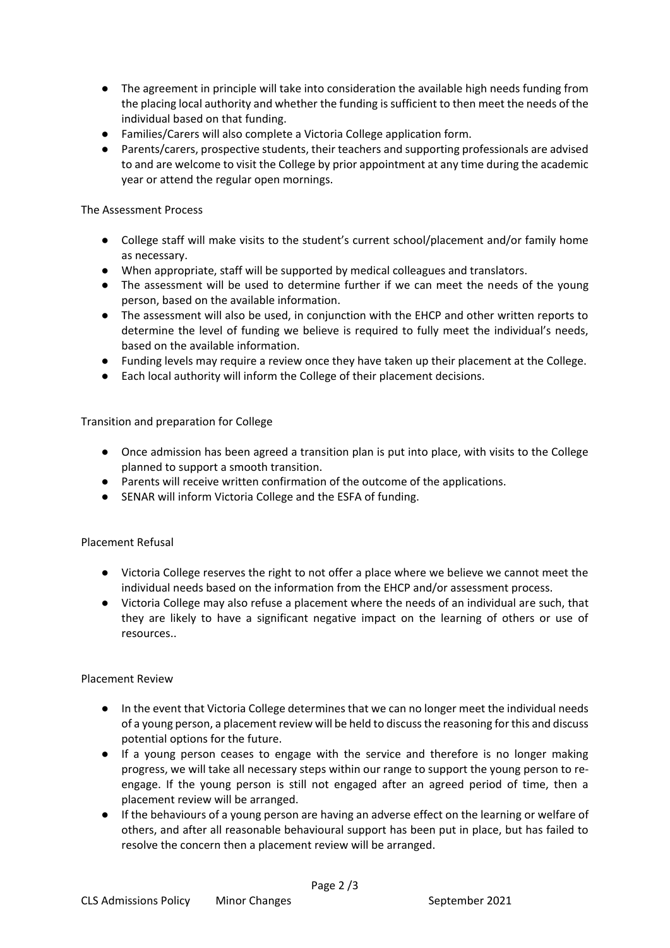- The agreement in principle will take into consideration the available high needs funding from the placing local authority and whether the funding is sufficient to then meet the needs of the individual based on that funding.
- Families/Carers will also complete a Victoria College application form.
- Parents/carers, prospective students, their teachers and supporting professionals are advised to and are welcome to visit the College by prior appointment at any time during the academic year or attend the regular open mornings.

## The Assessment Process

- College staff will make visits to the student's current school/placement and/or family home as necessary.
- When appropriate, staff will be supported by medical colleagues and translators.
- The assessment will be used to determine further if we can meet the needs of the young person, based on the available information.
- The assessment will also be used, in conjunction with the EHCP and other written reports to determine the level of funding we believe is required to fully meet the individual's needs, based on the available information.
- Funding levels may require a review once they have taken up their placement at the College.
- Each local authority will inform the College of their placement decisions.

## Transition and preparation for College

- Once admission has been agreed a transition plan is put into place, with visits to the College planned to support a smooth transition.
- Parents will receive written confirmation of the outcome of the applications.
- SENAR will inform Victoria College and the ESFA of funding.

### Placement Refusal

- Victoria College reserves the right to not offer a place where we believe we cannot meet the individual needs based on the information from the EHCP and/or assessment process.
- Victoria College may also refuse a placement where the needs of an individual are such, that they are likely to have a significant negative impact on the learning of others or use of resources..

### Placement Review

- In the event that Victoria College determines that we can no longer meet the individual needs of a young person, a placement review will be held to discuss the reasoning for this and discuss potential options for the future.
- If a young person ceases to engage with the service and therefore is no longer making progress, we will take all necessary steps within our range to support the young person to reengage. If the young person is still not engaged after an agreed period of time, then a placement review will be arranged.
- If the behaviours of a young person are having an adverse effect on the learning or welfare of others, and after all reasonable behavioural support has been put in place, but has failed to resolve the concern then a placement review will be arranged.